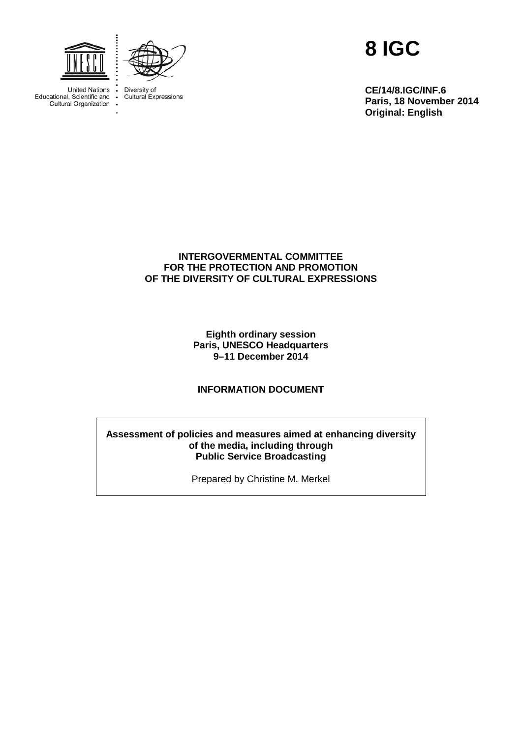

**United Nations** 

Educational, Scientific and

Cultural Organization

 $\cdot$ 

 $\ddot{\cdot}$ 



Diversity of<br>Cultural Expressions

**8 IGC**

**CE/14/8.IGC/INF.6 Paris, 18 November 2014 Original: English**

## **INTERGOVERMENTAL COMMITTEE FOR THE PROTECTION AND PROMOTION OF THE DIVERSITY OF CULTURAL EXPRESSIONS**

**Eighth ordinary session Paris, UNESCO Headquarters 9–11 December 2014**

## **INFORMATION DOCUMENT**

#### **Assessment of policies and measures aimed at enhancing diversity of the media, including through Public Service Broadcasting**

Prepared by Christine M. Merkel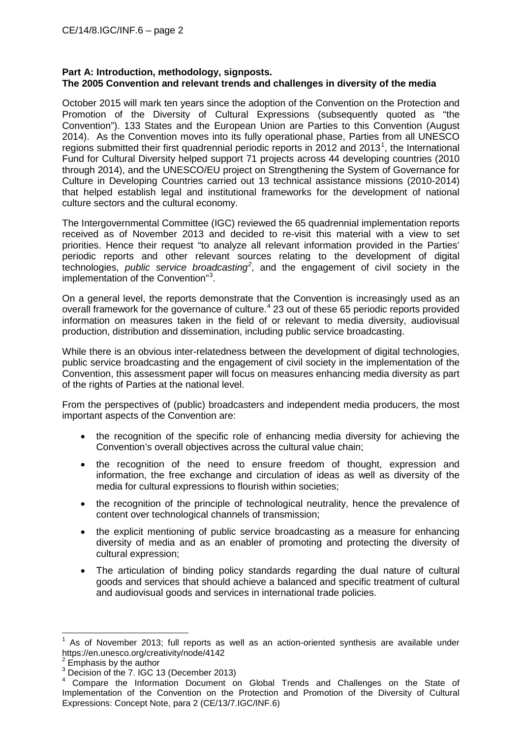## **Part A: Introduction, methodology, signposts. The 2005 Convention and relevant trends and challenges in diversity of the media**

October 2015 will mark ten years since the adoption of the Convention on the Protection and Promotion of the Diversity of Cultural Expressions (subsequently quoted as "the Convention"). 133 States and the European Union are Parties to this Convention (August 2014). As the Convention moves into its fully operational phase, Parties from all UNESCO regions submitted their first quadrennial periodic reports in  $2012$  $2012$  $2012$  and  $2013<sup>1</sup>$ , the International Fund for Cultural Diversity helped support 71 projects across 44 developing countries (2010 through 2014), and the UNESCO/EU project on Strengthening the System of Governance for Culture in Developing Countries carried out 13 technical assistance missions (2010-2014) that helped establish legal and institutional frameworks for the development of national culture sectors and the cultural economy.

The Intergovernmental Committee (IGC) reviewed the 65 quadrennial implementation reports received as of November 2013 and decided to re-visit this material with a view to set priorities. Hence their request "to analyze all relevant information provided in the Parties' periodic reports and other relevant sources relating to the development of digital technologies, *public service broadcasting[2](#page-1-1)* , and the engagement of civil society in the implementation of the Convention"<sup>[3](#page-1-2)</sup>.

On a general level, the reports demonstrate that the Convention is increasingly used as an overall framework for the governance of culture.<sup>[4](#page-1-3)</sup> 23 out of these 65 periodic reports provided information on measures taken in the field of or relevant to media diversity, audiovisual production, distribution and dissemination, including public service broadcasting.

While there is an obvious inter-relatedness between the development of digital technologies, public service broadcasting and the engagement of civil society in the implementation of the Convention, this assessment paper will focus on measures enhancing media diversity as part of the rights of Parties at the national level.

From the perspectives of (public) broadcasters and independent media producers, the most important aspects of the Convention are:

- the recognition of the specific role of enhancing media diversity for achieving the Convention's overall objectives across the cultural value chain;
- the recognition of the need to ensure freedom of thought, expression and information, the free exchange and circulation of ideas as well as diversity of the media for cultural expressions to flourish within societies;
- the recognition of the principle of technological neutrality, hence the prevalence of content over technological channels of transmission;
- the explicit mentioning of public service broadcasting as a measure for enhancing diversity of media and as an enabler of promoting and protecting the diversity of cultural expression;
- The articulation of binding policy standards regarding the dual nature of cultural goods and services that should achieve a balanced and specific treatment of cultural and audiovisual goods and services in international trade policies.

<span id="page-1-0"></span><sup>1</sup> As of November 2013; full reports as well as an action-oriented synthesis are available under https://en.unesco.org/creativity/node/4142

<span id="page-1-1"></span> $\frac{2}{3}$  Emphasis by the author<br> $\frac{3}{3}$  Decision of the 7. IGC 13 (December 2013)

<span id="page-1-3"></span><span id="page-1-2"></span><sup>&</sup>lt;sup>4</sup> Compare the Information Document on Global Trends and Challenges on the State of Implementation of the Convention on the Protection and Promotion of the Diversity of Cultural Expressions: Concept Note, para 2 (CE/13/7.IGC/INF.6)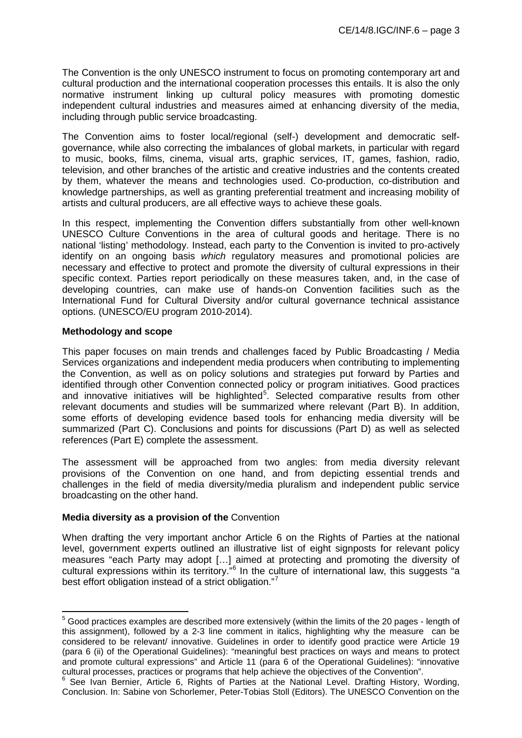The Convention is the only UNESCO instrument to focus on promoting contemporary art and cultural production and the international cooperation processes this entails. It is also the only normative instrument linking up cultural policy measures with promoting domestic independent cultural industries and measures aimed at enhancing diversity of the media, including through public service broadcasting.

The Convention aims to foster local/regional (self-) development and democratic selfgovernance, while also correcting the imbalances of global markets, in particular with regard to music, books, films, cinema, visual arts, graphic services, IT, games, fashion, radio, television, and other branches of the artistic and creative industries and the contents created by them, whatever the means and technologies used. Co-production, co-distribution and knowledge partnerships, as well as granting preferential treatment and increasing mobility of artists and cultural producers, are all effective ways to achieve these goals.

In this respect, implementing the Convention differs substantially from other well-known UNESCO Culture Conventions in the area of cultural goods and heritage. There is no national 'listing' methodology. Instead, each party to the Convention is invited to pro-actively identify on an ongoing basis *which* regulatory measures and promotional policies are necessary and effective to protect and promote the diversity of cultural expressions in their specific context. Parties report periodically on these measures taken, and, in the case of developing countries, can make use of hands-on Convention facilities such as the International Fund for Cultural Diversity and/or cultural governance technical assistance options. (UNESCO/EU program 2010-2014).

#### **Methodology and scope**

<span id="page-2-2"></span>This paper focuses on main trends and challenges faced by Public Broadcasting / Media Services organizations and independent media producers when contributing to implementing the Convention, as well as on policy solutions and strategies put forward by Parties and identified through other Convention connected policy or program initiatives. Good practices and innovative initiatives will be highlighted<sup>[5](#page-2-0)</sup>. Selected comparative results from other relevant documents and studies will be summarized where relevant (Part B). In addition, some efforts of developing evidence based tools for enhancing media diversity will be summarized (Part C). Conclusions and points for discussions (Part D) as well as selected references (Part E) complete the assessment.

The assessment will be approached from two angles: from media diversity relevant provisions of the Convention on one hand, and from depicting essential trends and challenges in the field of media diversity/media pluralism and independent public service broadcasting on the other hand.

## **Media diversity as a provision of the** Convention

When drafting the very important anchor Article 6 on the Rights of Parties at the national level, government experts outlined an illustrative list of eight signposts for relevant policy measures "each Party may adopt […] aimed at protecting and promoting the diversity of cultural expressions within its territory."<sup>[6](#page-2-1)</sup> In the culture of international law, this suggests "a best effort obligation instead of a strict obligation."<sup>[7](#page-2-2)</sup>

<span id="page-2-0"></span> $5$  Good practices examples are described more extensively (within the limits of the 20 pages - length of this assignment), followed by a 2-3 line comment in italics, highlighting why the measure can be considered to be relevant/ innovative. Guidelines in order to identify good practice were Article 19 (para 6 (ii) of the Operational Guidelines): "meaningful best practices on ways and means to protect and promote cultural expressions" and Article 11 (para 6 of the Operational Guidelines): "innovative cultural processes, practices or programs that help achieve the objectives of the Convention".

<span id="page-2-1"></span> $6$  See Ivan Bernier, Article 6, Rights of Parties at the National Level. Drafting History, Wording, Conclusion. In: Sabine von Schorlemer, Peter-Tobias Stoll (Editors). The UNESCO Convention on the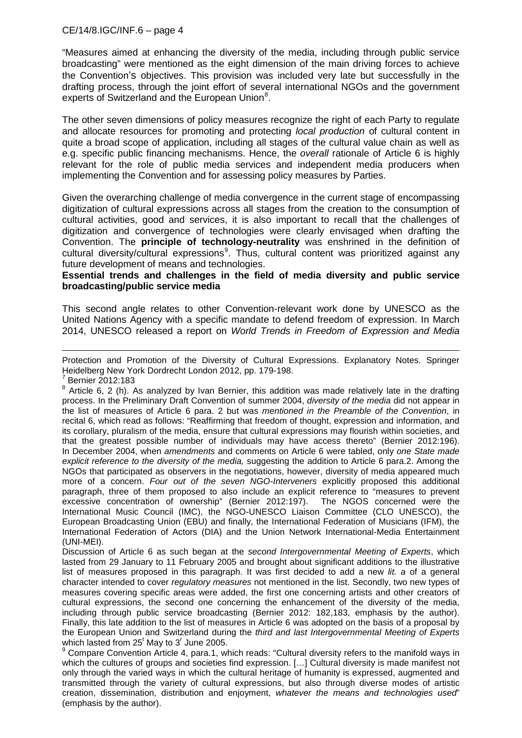"Measures aimed at enhancing the diversity of the media, including through public service broadcasting" were mentioned as the eight dimension of the main driving forces to achieve the Convention's objectives. This provision was included very late but successfully in the drafting process, through the joint effort of several international NGOs and the government experts of Switzerland and the European Union<sup>[8](#page-3-0)</sup>.

The other seven dimensions of policy measures recognize the right of each Party to regulate and allocate resources for promoting and protecting *local production* of cultural content in quite a broad scope of application, including all stages of the cultural value chain as well as e.g. specific public financing mechanisms. Hence, the *overall* rationale of Article 6 is highly relevant for the role of public media services and independent media producers when implementing the Convention and for assessing policy measures by Parties.

Given the overarching challenge of media convergence in the current stage of encompassing digitization of cultural expressions across all stages from the creation to the consumption of cultural activities, good and services, it is also important to recall that the challenges of digitization and convergence of technologies were clearly envisaged when drafting the Convention. The **principle of technology-neutrality** was enshrined in the definition of cultural diversity/cultural expressions<sup>[9](#page-3-1)</sup>. Thus, cultural content was prioritized against any future development of means and technologies.

#### **Essential trends and challenges in the field of media diversity and public service broadcasting/public service media**

This second angle relates to other Convention-relevant work done by UNESCO as the United Nations Agency with a specific mandate to defend freedom of expression. In March 2014, UNESCO released a report on *World Trends in Freedom of Expression and Media* 

**.** Protection and Promotion of the Diversity of Cultural Expressions. Explanatory Notes. Springer Heidelberg New York Dordrecht London 2012, pp. 179-198.<br><sup>7</sup> Bernier 2012:183

Discussion of Article 6 as such began at the *second Intergovernmental Meeting of Experts*, which lasted from 29 January to 11 February 2005 and brought about significant additions to the illustrative list of measures proposed in this paragraph. It was first decided to add a new *lit. a* of a general character intended to cover *regulatory measures* not mentioned in the list. Secondly, two new types of measures covering specific areas were added, the first one concerning artists and other creators of cultural expressions, the second one concerning the enhancement of the diversity of the media, including through public service broadcasting (Bernier 2012: 182,183, emphasis by the author). Finally, this late addition to the list of measures in Article 6 was adopted on the basis of a proposal by the European Union and Switzerland during the *third and last Intergovernmental Meeting of Experts* which lasted from  $25<sup>t</sup>$  May to  $3<sup>r</sup>$  June 2005.

<span id="page-3-0"></span> $8$  Article 6, 2 (h). As analyzed by Ivan Bernier, this addition was made relatively late in the drafting process. In the Preliminary Draft Convention of summer 2004, *diversity of the media* did not appear in the list of measures of Article 6 para. 2 but was *mentioned in the Preamble of the Convention*, in recital 6, which read as follows: "Reaffirming that freedom of thought, expression and information, and its corollary, pluralism of the media, ensure that cultural expressions may flourish within societies, and that the greatest possible number of individuals may have access thereto" (Bernier 2012:196). In December 2004, when *amendments* and comments on Article 6 were tabled, only *one State made explicit reference to the diversity of the media,* suggesting the addition to Article 6 para.2. Among the NGOs that participated as observers in the negotiations, however, diversity of media appeared much more of a concern. *Four out of the seven NGO-Interveners* explicitly proposed this additional paragraph, three of them proposed to also include an explicit reference to "measures to prevent excessive concentration of ownership" (Bernier 2012:197). The NGOS concerned were the International Music Council (IMC), the NGO-UNESCO Liaison Committee (CLO UNESCO), the European Broadcasting Union (EBU) and finally, the International Federation of Musicians (IFM), the International Federation of Actors (DIA) and the Union Network International-Media Entertainment (UNI-MEI).

<span id="page-3-1"></span> $9$  Compare Convention Article 4, para.1, which reads: "Cultural diversity refers to the manifold ways in which the cultures of groups and societies find expression. […] Cultural diversity is made manifest not only through the varied ways in which the cultural heritage of humanity is expressed, augmented and transmitted through the variety of cultural expressions, but also through diverse modes of artistic creation, dissemination, distribution and enjoyment, *whatever the means and technologies used*" (emphasis by the author).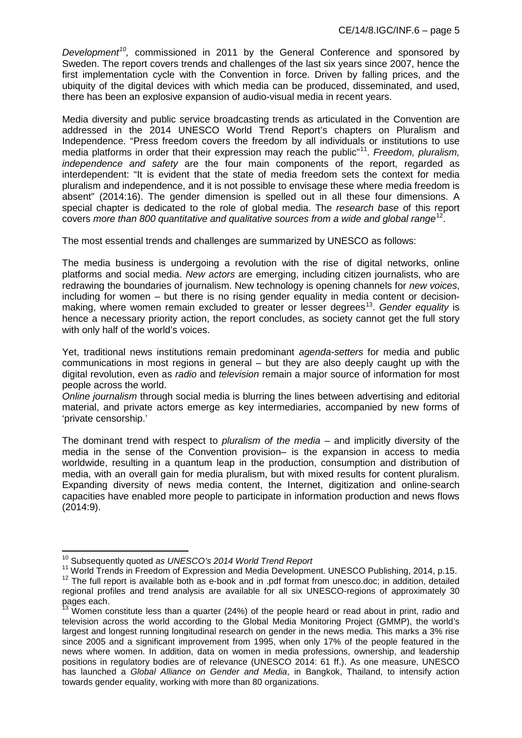*Development[10,](#page-4-0)* commissioned in 2011 by the General Conference and sponsored by Sweden. The report covers trends and challenges of the last six years since 2007, hence the first implementation cycle with the Convention in force. Driven by falling prices, and the ubiquity of the digital devices with which media can be produced, disseminated, and used, there has been an explosive expansion of audio-visual media in recent years.

Media diversity and public service broadcasting trends as articulated in the Convention are addressed in the 2014 UNESCO World Trend Report's chapters on Pluralism and Independence. "Press freedom covers the freedom by all individuals or institutions to use media platforms in order that their expression may reach the public"[11.](#page-4-1) *Freedom, pluralism, independence and safety* are the four main components of the report, regarded as interdependent: "It is evident that the state of media freedom sets the context for media pluralism and independence, and it is not possible to envisage these where media freedom is absent" (2014:16). The gender dimension is spelled out in all these four dimensions. A special chapter is dedicated to the role of global media. The *research base* of this report covers *more than 800 quantitative and qualitative sources from a wide and global range*[12](#page-4-2).

The most essential trends and challenges are summarized by UNESCO as follows:

The media business is undergoing a revolution with the rise of digital networks, online platforms and social media. *New actors* are emerging, including citizen journalists, who are redrawing the boundaries of journalism. New technology is opening channels for *new voices*, including for women – but there is no rising gender equality in media content or decision-making, where women remain excluded to greater or lesser degrees<sup>[13](#page-4-3)</sup>. Gender equality is hence a necessary priority action, the report concludes, as society cannot get the full story with only half of the world's voices.

Yet, traditional news institutions remain predominant *agenda-setters* for media and public communications in most regions in general – but they are also deeply caught up with the digital revolution, even as *radio* and *television* remain a major source of information for most people across the world.

*Online journalism* through social media is blurring the lines between advertising and editorial material, and private actors emerge as key intermediaries, accompanied by new forms of 'private censorship.'

The dominant trend with respect to *pluralism of the media* – and implicitly diversity of the media in the sense of the Convention provision– is the expansion in access to media worldwide, resulting in a quantum leap in the production, consumption and distribution of media, with an overall gain for media pluralism, but with mixed results for content pluralism. Expanding diversity of news media content, the Internet, digitization and online-search capacities have enabled more people to participate in information production and news flows (2014:9).

<span id="page-4-2"></span>

<span id="page-4-1"></span><span id="page-4-0"></span><sup>&</sup>lt;sup>10</sup> Subsequently quoted as UNESCO's 2014 World Trend Report<br><sup>11</sup> World Trends in Freedom of Expression and Media Development. UNESCO Publishing, 2014, p.15.<br><sup>12</sup> The full report is available both as e-book and in .pdf fo regional profiles and trend analysis are available for all six UNESCO-regions of approximately 30 pages each.

<span id="page-4-3"></span>Women constitute less than a quarter (24%) of the people heard or read about in print, radio and television across the world according to the Global Media Monitoring Project (GMMP), the world's largest and longest running longitudinal research on gender in the news media. This marks a 3% rise since 2005 and a significant improvement from 1995, when only 17% of the people featured in the news where women. In addition, data on women in media professions, ownership, and leadership positions in regulatory bodies are of relevance (UNESCO 2014: 61 ff.). As one measure, UNESCO has launched a *Global Alliance on Gender and Media*, in Bangkok, Thailand, to intensify action towards gender equality, working with more than 80 organizations.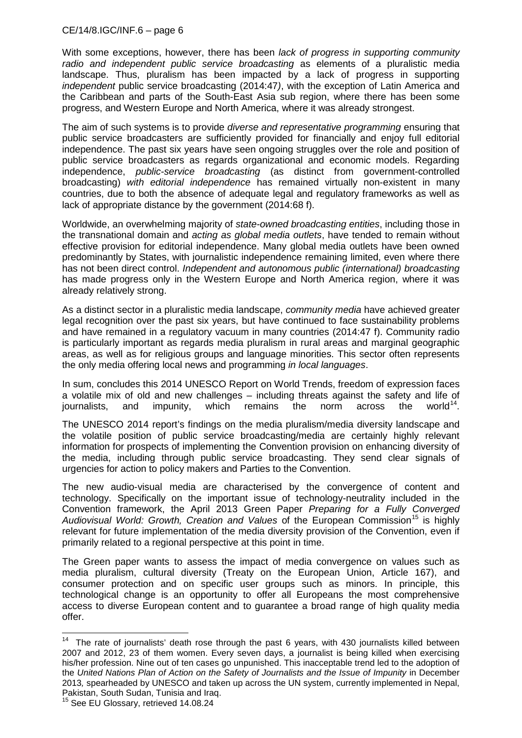With some exceptions, however, there has been *lack of progress in supporting community radio and independent public service broadcasting* as elements of a pluralistic media landscape. Thus, pluralism has been impacted by a lack of progress in supporting *independent* public service broadcasting (2014:47*)*, with the exception of Latin America and the Caribbean and parts of the South-East Asia sub region, where there has been some progress, and Western Europe and North America, where it was already strongest.

The aim of such systems is to provide *diverse and representative programming* ensuring that public service broadcasters are sufficiently provided for financially and enjoy full editorial independence. The past six years have seen ongoing struggles over the role and position of public service broadcasters as regards organizational and economic models. Regarding independence, *public-service broadcasting* (as distinct from government-controlled broadcasting) *with editorial independence* has remained virtually non-existent in many countries, due to both the absence of adequate legal and regulatory frameworks as well as lack of appropriate distance by the government (2014:68 f).

Worldwide, an overwhelming majority of *state-owned broadcasting entities*, including those in the transnational domain and *acting as global media outlets*, have tended to remain without effective provision for editorial independence. Many global media outlets have been owned predominantly by States, with journalistic independence remaining limited, even where there has not been direct control. *Independent and autonomous public (international) broadcasting* has made progress only in the Western Europe and North America region, where it was already relatively strong.

As a distinct sector in a pluralistic media landscape, *community media* have achieved greater legal recognition over the past six years, but have continued to face sustainability problems and have remained in a regulatory vacuum in many countries (2014:47 f). Community radio is particularly important as regards media pluralism in rural areas and marginal geographic areas, as well as for religious groups and language minorities. This sector often represents the only media offering local news and programming *in local languages*.

In sum, concludes this 2014 UNESCO Report on World Trends, freedom of expression faces a volatile mix of old and new challenges – including threats against the safety and life of journalists, and impunity, which remains the norm across the world<sup>[14](#page-5-0)</sup>.

The UNESCO 2014 report's findings on the media pluralism/media diversity landscape and the volatile position of public service broadcasting/media are certainly highly relevant information for prospects of implementing the Convention provision on enhancing diversity of the media, including through public service broadcasting. They send clear signals of urgencies for action to policy makers and Parties to the Convention.

The new audio-visual media are characterised by the convergence of content and technology. Specifically on the important issue of technology-neutrality included in the Convention framework, the April 2013 Green Paper *[Preparing for a Fully Converged](https://ec.europa.eu/digital-agenda/node/51287#green-paper---preparing-for-a-fully-converged-audi)*  [Audiovisual World: Growth, Creation and Values](https://ec.europa.eu/digital-agenda/node/51287#green-paper---preparing-for-a-fully-converged-audi) of the European Commission<sup>[15](#page-5-1)</sup> is highly relevant for future implementation of the media diversity provision of the Convention, even if primarily related to a regional perspective at this point in time.

The Green paper wants to assess the impact of media convergence on values such as media pluralism, cultural diversity (Treaty on the European Union, Article 167), and consumer protection and on specific user groups such as minors. In principle, this technological change is an opportunity to offer all Europeans the most comprehensive access to diverse European content and to guarantee a broad range of high quality media offer.

<span id="page-5-0"></span><sup>&</sup>lt;sup>14</sup> The rate of journalists' death rose through the past 6 years, with 430 journalists killed between 2007 and 2012, 23 of them women. Every seven days, a journalist is being killed when exercising his/her profession. Nine out of ten cases go unpunished. This inacceptable trend led to the adoption of the *United Nations Plan of Action on the Safety of Journalists and the Issue of Impunity* in December 2013*,* spearheaded by UNESCO and taken up across the UN system, currently implemented in Nepal, Pakistan, South Sudan, Tunisia and Iraq.<br><sup>15</sup> See EU Glossary, retrieved 14.08.24

<span id="page-5-1"></span>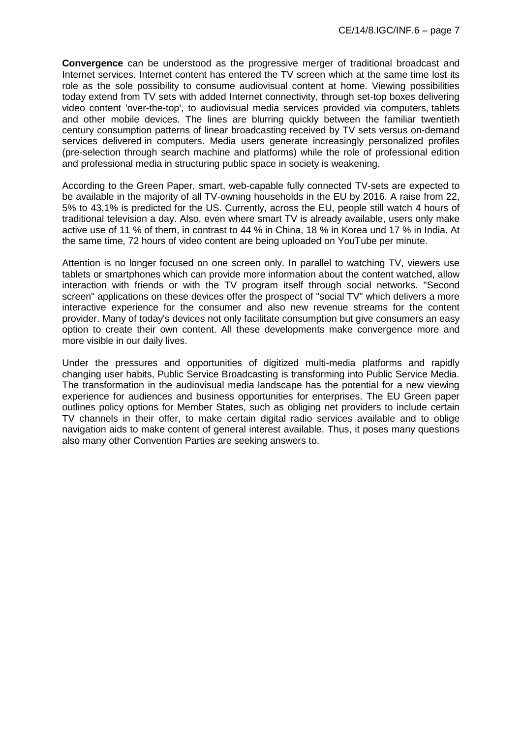**Convergence** can be understood as the progressive merger of traditional broadcast and Internet services. Internet content has entered the TV screen which at the same time lost its role as the sole possibility to consume audiovisual content at home. Viewing possibilities today extend from TV sets with added Internet connectivity, through set-top boxes delivering video content 'over-the-top', to audiovisual media services provided via computers, tablets and other mobile devices. The lines are blurring quickly between the familiar twentieth century consumption patterns of linear broadcasting received by TV sets versus on-demand services delivered in computers. Media users generate increasingly personalized profiles (pre-selection through search machine and platforms) while the role of professional edition and professional media in structuring public space in society is weakening.

According to the Green Paper, smart, web-capable fully connected TV-sets are expected to be available in the majority of all TV-owning households in the EU by 2016. A raise from 22, 5% to 43,1% is predicted for the US. Currently, across the EU, people still watch 4 hours of traditional television a day. Also, even where smart TV is already available, users only make active use of 11 % of them, in contrast to 44 % in China, 18 % in Korea und 17 % in India. At the same time, 72 hours of video content are being uploaded on YouTube per minute.

Attention is no longer focused on one screen only. In parallel to watching TV, viewers use tablets or smartphones which can provide more information about the content watched, allow interaction with friends or with the TV program itself through social networks. "Second screen" applications on these devices offer the prospect of "social TV" which delivers a more interactive experience for the consumer and also new revenue streams for the content provider. Many of today's devices not only facilitate consumption but give consumers an easy option to create their own content. All these developments make convergence more and more visible in our daily lives.

Under the pressures and opportunities of digitized multi-media platforms and rapidly changing user habits, Public Service Broadcasting is transforming into Public Service Media. The transformation in the audiovisual media landscape has the potential for a new viewing experience for audiences and business opportunities for enterprises. The EU Green paper outlines policy options for Member States, such as obliging net providers to include certain TV channels in their offer, to make certain digital radio services available and to oblige navigation aids to make content of general interest available. Thus, it poses many questions also many other Convention Parties are seeking answers to.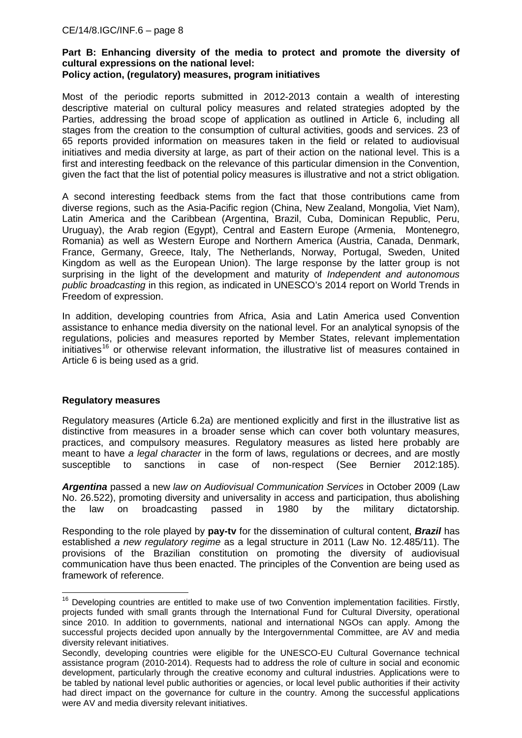# **Part B: Enhancing diversity of the media to protect and promote the diversity of cultural expressions on the national level:**

## **Policy action, (regulatory) measures, program initiatives**

Most of the periodic reports submitted in 2012-2013 contain a wealth of interesting descriptive material on cultural policy measures and related strategies adopted by the Parties, addressing the broad scope of application as outlined in Article 6, including all stages from the creation to the consumption of cultural activities, goods and services. 23 of 65 reports provided information on measures taken in the field or related to audiovisual initiatives and media diversity at large, as part of their action on the national level. This is a first and interesting feedback on the relevance of this particular dimension in the Convention, given the fact that the list of potential policy measures is illustrative and not a strict obligation.

A second interesting feedback stems from the fact that those contributions came from diverse regions, such as the Asia-Pacific region (China, New Zealand, Mongolia, Viet Nam), Latin America and the Caribbean (Argentina, Brazil, Cuba, Dominican Republic, Peru, Uruguay), the Arab region (Egypt), Central and Eastern Europe (Armenia, Montenegro, Romania) as well as Western Europe and Northern America (Austria, Canada, Denmark, France, Germany, Greece, Italy, The Netherlands, Norway, Portugal, Sweden, United Kingdom as well as the European Union). The large response by the latter group is not surprising in the light of the development and maturity of *Independent and autonomous public broadcasting* in this region, as indicated in UNESCO's 2014 report on World Trends in Freedom of expression.

In addition, developing countries from Africa, Asia and Latin America used Convention assistance to enhance media diversity on the national level. For an analytical synopsis of the regulations, policies and measures reported by Member States, relevant implementation initiatives<sup>[16](#page-7-0)</sup> or otherwise relevant information, the illustrative list of measures contained in Article 6 is being used as a grid.

## **Regulatory measures**

Regulatory measures (Article 6.2a) are mentioned explicitly and first in the illustrative list as distinctive from measures in a broader sense which can cover both voluntary measures, practices, and compulsory measures. Regulatory measures as listed here probably are meant to have *a legal character* in the form of laws, regulations or decrees, and are mostly susceptible to sanctions in case of non-respect (See Bernier 2012:185).

*Argentina* passed a new *law on Audiovisual Communication Services* in October 2009 (Law No. 26.522), promoting diversity and universality in access and participation, thus abolishing the law on broadcasting passed in 1980 by the military dictatorship.

Responding to the role played by **pay-tv** for the dissemination of cultural content, *Brazil* has established *a new regulatory regime* as a legal structure in 2011 (Law No. 12.485/11). The provisions of the Brazilian constitution on promoting the diversity of audiovisual communication have thus been enacted. The principles of the Convention are being used as framework of reference.

<span id="page-7-0"></span><sup>&</sup>lt;sup>16</sup> Developing countries are entitled to make use of two Convention implementation facilities. Firstly, projects funded with small grants through the International Fund for Cultural Diversity, operational since 2010. In addition to governments, national and international NGOs can apply. Among the successful projects decided upon annually by the Intergovernmental Committee, are AV and media diversity relevant initiatives.

Secondly, developing countries were eligible for the UNESCO-EU Cultural Governance technical assistance program (2010-2014). Requests had to address the role of culture in social and economic development, particularly through the creative economy and cultural industries. Applications were to be tabled by national level public authorities or agencies, or local level public authorities if their activity had direct impact on the governance for culture in the country. Among the successful applications were AV and media diversity relevant initiatives.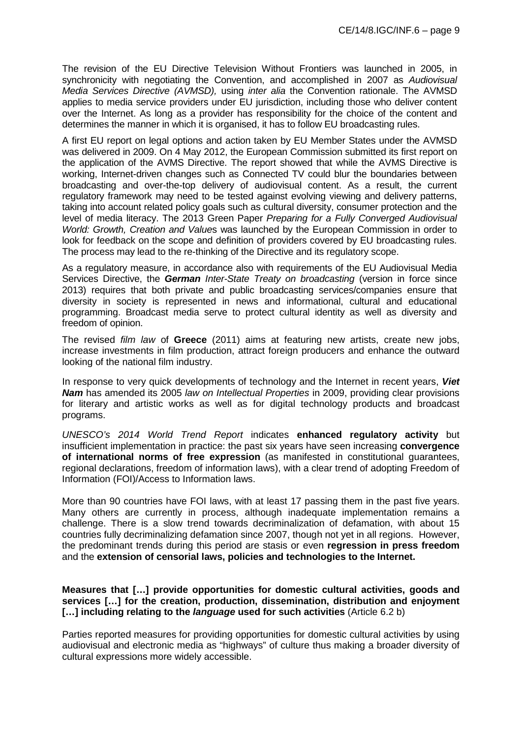The revision of the EU Directive Television Without Frontiers was launched in 2005, in synchronicity with negotiating the Convention, and accomplished in 2007 as *Audiovisual Media Services Directive (AVMSD),* using *inter alia* the Convention rationale. The AVMSD applies to media service providers under EU jurisdiction, including those who deliver content over the Internet. As long as a provider has responsibility for the choice of the content and determines the manner in which it is organised, it has to follow EU broadcasting rules.

A first EU report on legal options and action taken by EU Member States under the AVMSD was delivered in 2009. On 4 May 2012, the European Commission submitted its first report on the application of the AVMS Directive. The report showed that while the AVMS Directive is working, Internet-driven changes such as Connected TV could blur the boundaries between broadcasting and over-the-top delivery of audiovisual content. As a result, the current regulatory framework may need to be tested against evolving viewing and delivery patterns, taking into account related policy goals such as cultural diversity, consumer protection and the level of media literacy. The 2013 Green Paper *[Preparing for a Fully Converged Audiovisual](https://ec.europa.eu/digital-agenda/node/51287#green-paper---preparing-for-a-fully-converged-audi)  [World: Growth, Creation and Value](https://ec.europa.eu/digital-agenda/node/51287#green-paper---preparing-for-a-fully-converged-audi)*s was launched by the European Commission in order to look for feedback on the scope and definition of providers covered by EU broadcasting rules. The process may lead to the re-thinking of the Directive and its regulatory scope.

As a regulatory measure, in accordance also with requirements of the EU Audiovisual Media Services Directive, the *German Inter-State Treaty on broadcasting* (version in force since 2013) requires that both private and public broadcasting services/companies ensure that diversity in society is represented in news and informational, cultural and educational programming. Broadcast media serve to protect cultural identity as well as diversity and freedom of opinion.

The revised *film law* of **Greece** (2011) aims at featuring new artists, create new jobs, increase investments in film production, attract foreign producers and enhance the outward looking of the national film industry.

In response to very quick developments of technology and the Internet in recent years, *Viet Nam* has amended its 2005 *law on Intellectual Properties* in 2009, providing clear provisions for literary and artistic works as well as for digital technology products and broadcast programs.

*UNESCO's 2014 World Trend Report* indicates **enhanced regulatory activity** but insufficient implementation in practice: the past six years have seen increasing **convergence of international norms of free expression** (as manifested in constitutional guarantees, regional declarations, freedom of information laws), with a clear trend of adopting Freedom of Information (FOI)/Access to Information laws.

More than 90 countries have FOI laws, with at least 17 passing them in the past five years. Many others are currently in process, although inadequate implementation remains a challenge. There is a slow trend towards decriminalization of defamation, with about 15 countries fully decriminalizing defamation since 2007, though not yet in all regions. However, the predominant trends during this period are stasis or even **regression in press freedom** and the **extension of censorial laws, policies and technologies to the Internet.** 

#### **Measures that […] provide opportunities for domestic cultural activities, goods and services […] for the creation, production, dissemination, distribution and enjoyment […] including relating to the** *language* **used for such activities** (Article 6.2 b)

Parties reported measures for providing opportunities for domestic cultural activities by using audiovisual and electronic media as "highways" of culture thus making a broader diversity of cultural expressions more widely accessible.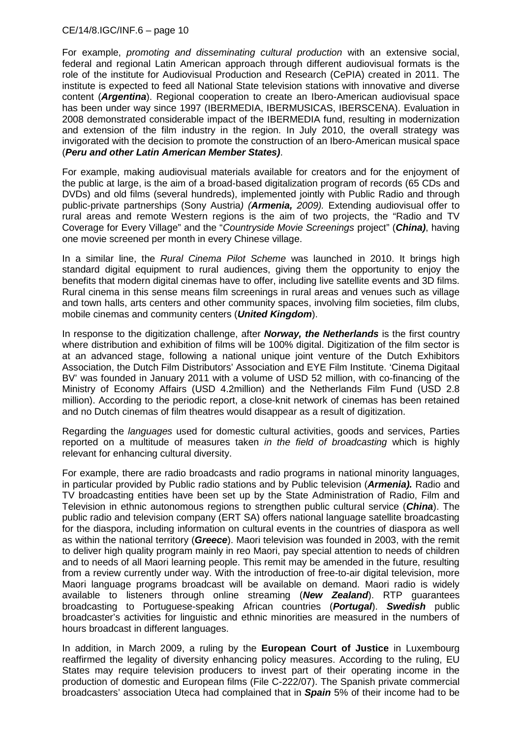For example, *promoting and disseminating cultural production* with an extensive social, federal and regional Latin American approach through different audiovisual formats is the role of the institute for Audiovisual Production and Research (CePIA) created in 2011. The institute is expected to feed all National State television stations with innovative and diverse content (*Argentina*). Regional cooperation to create an Ibero-American audiovisual space has been under way since 1997 (IBERMEDIA, IBERMUSICAS, IBERSCENA). Evaluation in 2008 demonstrated considerable impact of the IBERMEDIA fund, resulting in modernization and extension of the film industry in the region. In July 2010, the overall strategy was invigorated with the decision to promote the construction of an Ibero-American musical space (*Peru and other Latin American Member States)*.

For example, making audiovisual materials available for creators and for the enjoyment of the public at large, is the aim of a broad-based digitalization program of records (65 CDs and DVDs) and old films (several hundreds), implemented jointly with Public Radio and through public-private partnerships (Sony Austria*) (Armenia, 2009).* Extending audiovisual offer to rural areas and remote Western regions is the aim of two projects, the "Radio and TV Coverage for Every Village" and the "*Countryside Movie Screenings* project" (*China)*, having one movie screened per month in every Chinese village.

In a similar line, the *Rural Cinema Pilot Scheme* was launched in 2010. It brings high standard digital equipment to rural audiences, giving them the opportunity to enjoy the benefits that modern digital cinemas have to offer, including live satellite events and 3D films. Rural cinema in this sense means film screenings in rural areas and venues such as village and town halls, arts centers and other community spaces, involving film societies, film clubs, mobile cinemas and community centers (*United Kingdom*).

In response to the digitization challenge, after *Norway, the Netherlands* is the first country where distribution and exhibition of films will be 100% digital. Digitization of the film sector is at an advanced stage, following a national unique joint venture of the Dutch Exhibitors Association, the Dutch Film Distributors' Association and EYE Film Institute. 'Cinema Digitaal BV' was founded in January 2011 with a volume of USD 52 million, with co-financing of the Ministry of Economy Affairs (USD 4.2million) and the Netherlands Film Fund (USD 2.8 million). According to the periodic report, a close-knit network of cinemas has been retained and no Dutch cinemas of film theatres would disappear as a result of digitization.

Regarding the *languages* used for domestic cultural activities, goods and services, Parties reported on a multitude of measures taken *in the field of broadcasting* which is highly relevant for enhancing cultural diversity.

For example, there are radio broadcasts and radio programs in national minority languages, in particular provided by Public radio stations and by Public television (*Armenia).* Radio and TV broadcasting entities have been set up by the State Administration of Radio, Film and Television in ethnic autonomous regions to strengthen public cultural service (*China*). The public radio and television company (ERT SA) offers national language satellite broadcasting for the diaspora, including information on cultural events in the countries of diaspora as well as within the national territory (*Greece*). Maori television was founded in 2003, with the remit to deliver high quality program mainly in reo Maori, pay special attention to needs of children and to needs of all Maori learning people. This remit may be amended in the future, resulting from a review currently under way. With the introduction of free-to-air digital television, more Maori language programs broadcast will be available on demand. Maori radio is widely available to listeners through online streaming (*New Zealand*). RTP guarantees broadcasting to Portuguese-speaking African countries (*Portugal*). *Swedish* public broadcaster's activities for linguistic and ethnic minorities are measured in the numbers of hours broadcast in different languages.

In addition, in March 2009, a ruling by the **European Court of Justice** in Luxembourg reaffirmed the legality of diversity enhancing policy measures. According to the ruling, EU States may require television producers to invest part of their operating income in the production of domestic and European films (File C-222/07). The Spanish private commercial broadcasters' association Uteca had complained that in *Spain* 5% of their income had to be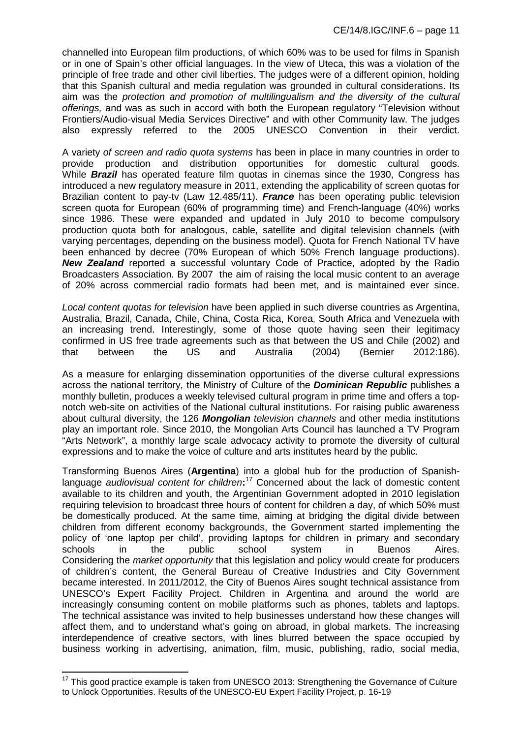channelled into European film productions, of which 60% was to be used for films in Spanish or in one of Spain's other official languages. In the view of Uteca, this was a violation of the principle of free trade and other civil liberties. The judges were of a different opinion, holding that this Spanish cultural and media regulation was grounded in cultural considerations. Its aim was the *protection and promotion of multilingualism and the diversity of the cultural offerings,* and was as such in accord with both the European regulatory "Television without Frontiers/Audio-visual Media Services Directive" and with other Community law. The judges also expressly referred to the 2005 UNESCO Convention in their verdict.

A variety *of screen and radio quota systems* has been in place in many countries in order to provide production and distribution opportunities for domestic cultural goods. While *Brazil* has operated feature film quotas in cinemas since the 1930, Congress has introduced a new regulatory measure in 2011, extending the applicability of screen quotas for Brazilian content to pay-tv (Law 12.485/11). *France* has been operating public television screen quota for European (60% of programming time) and French-language (40%) works since 1986. These were expanded and updated in July 2010 to become compulsory production quota both for analogous, cable, satellite and digital television channels (with varying percentages, depending on the business model). Quota for French National TV have been enhanced by decree (70% European of which 50% French language productions). *New Zealand* reported a successful voluntary Code of Practice, adopted by the Radio Broadcasters Association. By 2007 the aim of raising the local music content to an average of 20% across commercial radio formats had been met, and is maintained ever since.

*Local content quotas for television* have been applied in such diverse countries as Argentina, Australia, Brazil, Canada, Chile, China, Costa Rica, Korea, South Africa and Venezuela with an increasing trend. Interestingly, some of those quote having seen their legitimacy confirmed in US free trade agreements such as that between the US and Chile (2002) and that between the US and Australia (2004) (Bernier 2012:186).

As a measure for enlarging dissemination opportunities of the diverse cultural expressions across the national territory, the Ministry of Culture of the *Dominican Republic* publishes a monthly bulletin, produces a weekly televised cultural program in prime time and offers a topnotch web-site on activities of the National cultural institutions. For raising public awareness about cultural diversity, the 126 *Mongolian television channels* and other media institutions play an important role. Since 2010, the Mongolian Arts Council has launched a TV Program "Arts Network", a monthly large scale advocacy activity to promote the diversity of cultural expressions and to make the voice of culture and arts institutes heard by the public.

Transforming Buenos Aires (**Argentina**) into a global hub for the production of Spanishlanguage *audiovisual content for children***:** [17](#page-10-0) Concerned about the lack of domestic content available to its children and youth, the Argentinian Government adopted in 2010 legislation requiring television to broadcast three hours of content for children a day, of which 50% must be domestically produced. At the same time, aiming at bridging the digital divide between children from different economy backgrounds, the Government started implementing the policy of 'one laptop per child', providing laptops for children in primary and secondary schools in the public school system in Buenos Aires. Considering the *market opportunity* that this legislation and policy would create for producers of children's content, the General Bureau of Creative Industries and City Government became interested. In 2011/2012, the City of Buenos Aires sought technical assistance from UNESCO's Expert Facility Project. Children in Argentina and around the world are increasingly consuming content on mobile platforms such as phones, tablets and laptops. The technical assistance was invited to help businesses understand how these changes will affect them, and to understand what's going on abroad, in global markets. The increasing interdependence of creative sectors, with lines blurred between the space occupied by business working in advertising, animation, film, music, publishing, radio, social media,

<span id="page-10-0"></span> $17$  This good practice example is taken from UNESCO 2013: Strengthening the Governance of Culture to Unlock Opportunities. Results of the UNESCO-EU Expert Facility Project, p. 16-19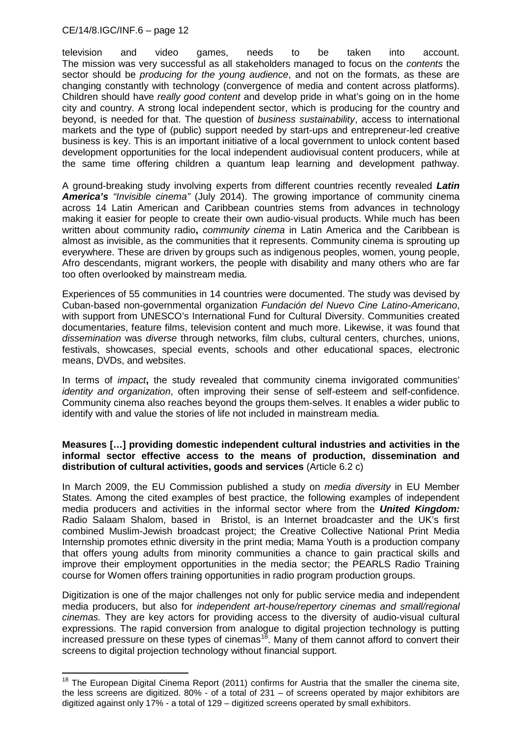television and video games, needs to be taken into account. The mission was very successful as all stakeholders managed to focus on the *contents* the sector should be *producing for the young audience*, and not on the formats, as these are changing constantly with technology (convergence of media and content across platforms). Children should have *really good content* and develop pride in what's going on in the home city and country. A strong local independent sector, which is producing for the country and beyond, is needed for that. The question of *business sustainability*, access to international markets and the type of (public) support needed by start-ups and entrepreneur-led creative business is key. This is an important initiative of a local government to unlock content based development opportunities for the local independent audiovisual content producers, while at the same time offering children a quantum leap learning and development pathway.

A ground-breaking study involving experts from different countries recently revealed *Latin America's "Invisible cinema"* (July 2014). The growing importance of community cinema across 14 Latin American and Caribbean countries stems from advances in technology making it easier for people to create their own audio-visual products. While much has been written about community radio**,** *community cinema* in Latin America and the Caribbean is almost as invisible, as the communities that it represents. Community cinema is sprouting up everywhere. These are driven by groups such as indigenous peoples, women, young people, Afro descendants, migrant workers, the people with disability and many others who are far too often overlooked by mainstream media.

Experiences of 55 communities in 14 countries were documented. The study was devised by Cuban-based non-governmental organization *Fundación del Nuevo Cine Latino-Americano*, with support from UNESCO's International Fund for Cultural Diversity. Communities created documentaries, feature films, television content and much more. Likewise, it was found that *dissemination* was *diverse* through networks, film clubs, cultural centers, churches, unions, festivals, showcases, special events, schools and other educational spaces, electronic means, DVDs, and websites.

In terms of *impact***,** the study revealed that community cinema invigorated communities' *identity and organization*, often improving their sense of self-esteem and self-confidence. Community cinema also reaches beyond the groups them-selves. It enables a wider public to identify with and value the stories of life not included in mainstream media.

#### **Measures […] providing domestic independent cultural industries and activities in the informal sector effective access to the means of production, dissemination and distribution of cultural activities, goods and services** (Article 6.2 c)

In March 2009, the EU Commission published a study on *media diversity* in EU Member States. Among the cited examples of best practice, the following examples of independent media producers and activities in the informal sector where from the *United Kingdom:*  Radio Salaam Shalom, based in Bristol, is an Internet broadcaster and the UK's first combined Muslim-Jewish broadcast project; the Creative Collective National Print Media Internship promotes ethnic diversity in the print media; Mama Youth is a production company that offers young adults from minority communities a chance to gain practical skills and improve their employment opportunities in the media sector; the PEARLS Radio Training course for Women offers training opportunities in radio program production groups.

Digitization is one of the major challenges not only for public service media and independent media producers, but also for *independent art-house/repertory cinemas and small/regional cinemas.* They are key actors for providing access to the diversity of audio-visual cultural expressions. The rapid conversion from analogue to digital projection technology is putting increased pressure on these types of cinemas<sup>18</sup>. Many of them cannot afford to convert their screens to digital projection technology without financial support.

<span id="page-11-0"></span><sup>&</sup>lt;sup>18</sup> The European Digital Cinema Report (2011) confirms for Austria that the smaller the cinema site, the less screens are digitized. 80% - of a total of 231 – of screens operated by major exhibitors are digitized against only 17% - a total of 129 – digitized screens operated by small exhibitors.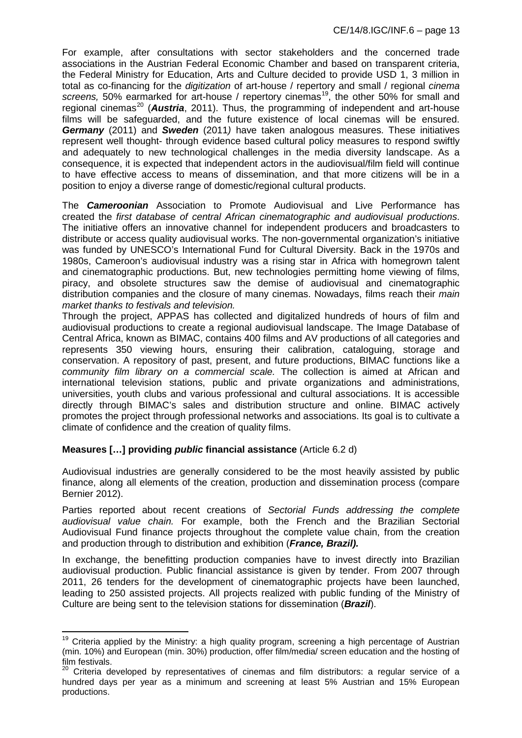For example, after consultations with sector stakeholders and the concerned trade associations in the Austrian Federal Economic Chamber and based on transparent criteria, the Federal Ministry for Education, Arts and Culture decided to provide USD 1, 3 million in total as co-financing for the *digitization* of art-house / repertory and small / regional *cinema*  screens, 50% earmarked for art-house / repertory cinemas<sup>19</sup>, the other 50% for small and regional cinemas<sup>[20](#page-12-1)</sup> (**Austria**, 2011). Thus, the programming of independent and art-house films will be safeguarded, and the future existence of local cinemas will be ensured. *Germany* (2011) and *Sweden* (2011*)* have taken analogous measures. These initiatives represent well thought- through evidence based cultural policy measures to respond swiftly and adequately to new technological challenges in the media diversity landscape. As a consequence, it is expected that independent actors in the audiovisual/film field will continue to have effective access to means of dissemination, and that more citizens will be in a position to enjoy a diverse range of domestic/regional cultural products.

The *Cameroonian* Association to Promote Audiovisual and Live Performance has created the *first database of central African cinematographic and audiovisual productions*. The initiative offers an innovative channel for independent producers and broadcasters to distribute or access quality audiovisual works. The non-governmental organization's initiative was funded by UNESCO's International Fund for Cultural Diversity. Back in the 1970s and 1980s, Cameroon's audiovisual industry was a rising star in Africa with homegrown talent and cinematographic productions. But, new technologies permitting home viewing of films, piracy, and obsolete structures saw the demise of audiovisual and cinematographic distribution companies and the closure of many cinemas. Nowadays, films reach their *main market thanks to festivals and television.* 

Through the project, APPAS has collected and digitalized hundreds of hours of film and audiovisual productions to create a regional audiovisual landscape. The Image Database of Central Africa, known as BIMAC, contains 400 films and AV productions of all categories and represents 350 viewing hours, ensuring their calibration, cataloguing, storage and conservation. A repository of past, present, and future productions, BIMAC functions like a *community film library on a commercial scale.* The collection is aimed at African and international television stations, public and private organizations and administrations, universities, youth clubs and various professional and cultural associations. It is accessible directly through BIMAC's sales and distribution structure and online. BIMAC actively promotes the project through professional networks and associations. Its goal is to cultivate a climate of confidence and the creation of quality films.

## **Measures […] providing** *public* **financial assistance** (Article 6.2 d)

Audiovisual industries are generally considered to be the most heavily assisted by public finance, along all elements of the creation, production and dissemination process (compare Bernier 2012).

Parties reported about recent creations of *Sectorial Funds addressing the complete audiovisual value chain.* For example, both the French and the Brazilian Sectorial Audiovisual Fund finance projects throughout the complete value chain, from the creation and production through to distribution and exhibition (*France, Brazil).*

In exchange, the benefitting production companies have to invest directly into Brazilian audiovisual production. Public financial assistance is given by tender. From 2007 through 2011, 26 tenders for the development of cinematographic projects have been launched, leading to 250 assisted projects. All projects realized with public funding of the Ministry of Culture are being sent to the television stations for dissemination (*Brazil*).

<span id="page-12-0"></span><sup>&</sup>lt;sup>19</sup> Criteria applied by the Ministry: a high quality program, screening a high percentage of Austrian (min. 10%) and European (min. 30%) production, offer film/media/ screen education and the hosting of film festivals.

<span id="page-12-1"></span> $20$  Criteria developed by representatives of cinemas and film distributors: a regular service of a hundred days per year as a minimum and screening at least 5% Austrian and 15% European productions.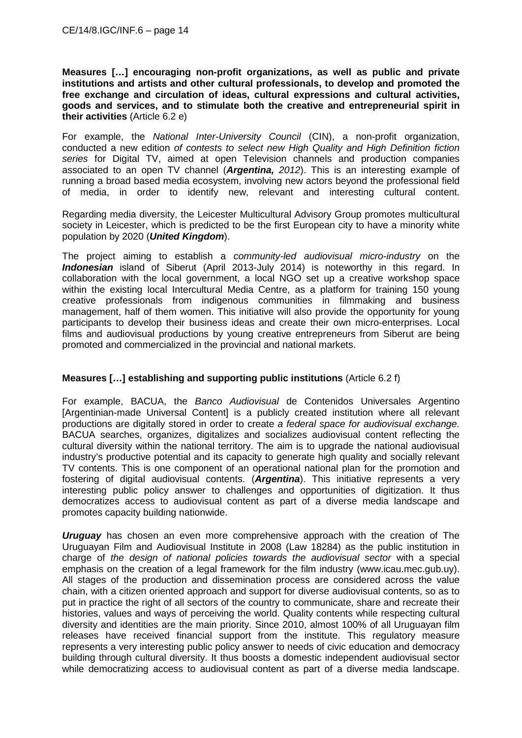**Measures […] encouraging non-profit organizations, as well as public and private institutions and artists and other cultural professionals, to develop and promoted the free exchange and circulation of ideas, cultural expressions and cultural activities, goods and services, and to stimulate both the creative and entrepreneurial spirit in their activities** (Article 6.2 e)

For example, the *National Inter-University Council* (CIN), a non-profit organization, conducted a new edition *of contests to select new High Quality and High Definition fiction series* for Digital TV, aimed at open Television channels and production companies associated to an open TV channel (*Argentina, 2012*). This is an interesting example of running a broad based media ecosystem, involving new actors beyond the professional field of media, in order to identify new, relevant and interesting cultural content.

Regarding media diversity, the Leicester Multicultural Advisory Group promotes multicultural society in Leicester, which is predicted to be the first European city to have a minority white population by 2020 (*United Kingdom*).

The project aiming to establish a *community-led audiovisual micro-industry* on the *Indonesian* island of Siberut (April 2013-July 2014) is noteworthy in this regard. In collaboration with the local government, a local NGO set up a creative workshop space within the existing local Intercultural Media Centre, as a platform for training 150 young creative professionals from indigenous communities in filmmaking and business management, half of them women. This initiative will also provide the opportunity for young participants to develop their business ideas and create their own micro-enterprises. Local films and audiovisual productions by young creative entrepreneurs from Siberut are being promoted and commercialized in the provincial and national markets.

## **Measures […] establishing and supporting public institutions** (Article 6.2 f)

For example, BACUA, the *Banco Audiovisual* de Contenidos Universales Argentino [Argentinian-made Universal Content] is a publicly created institution where all relevant productions are digitally stored in order to create *a federal space for audiovisual exchange.* BACUA searches, organizes, digitalizes and socializes audiovisual content reflecting the cultural diversity within the national territory. The aim is to upgrade the national audiovisual industry's productive potential and its capacity to generate high quality and socially relevant TV contents. This is one component of an operational national plan for the promotion and fostering of digital audiovisual contents. (*Argentina*). This initiative represents a very interesting public policy answer to challenges and opportunities of digitization. It thus democratizes access to audiovisual content as part of a diverse media landscape and promotes capacity building nationwide.

*Uruguay* has chosen an even more comprehensive approach with the creation of The Uruguayan Film and Audiovisual Institute in 2008 (Law 18284) as the public institution in charge of *the design of national policies towards the audiovisual sector* with a special emphasis on the creation of a legal framework for the film industry (www.icau.mec.gub.uy). All stages of the production and dissemination process are considered across the value chain, with a citizen oriented approach and support for diverse audiovisual contents, so as to put in practice the right of all sectors of the country to communicate, share and recreate their histories, values and ways of perceiving the world. Quality contents while respecting cultural diversity and identities are the main priority. Since 2010, almost 100% of all Uruguayan film releases have received financial support from the institute. This regulatory measure represents a very interesting public policy answer to needs of civic education and democracy building through cultural diversity. It thus boosts a domestic independent audiovisual sector while democratizing access to audiovisual content as part of a diverse media landscape.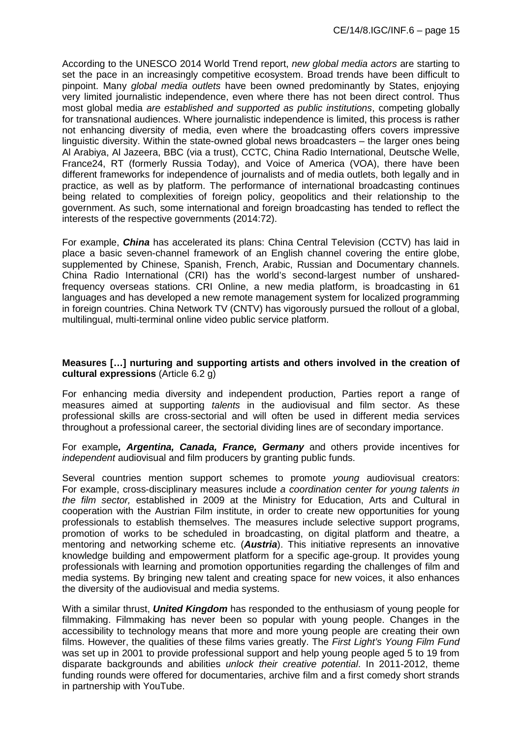According to the UNESCO 2014 World Trend report, *new global media actors* are starting to set the pace in an increasingly competitive ecosystem. Broad trends have been difficult to pinpoint. Many *global media outlets* have been owned predominantly by States, enjoying very limited journalistic independence, even where there has not been direct control. Thus most global media *are established and supported as public institutions*, competing globally for transnational audiences. Where journalistic independence is limited, this process is rather not enhancing diversity of media, even where the broadcasting offers covers impressive linguistic diversity. Within the state-owned global news broadcasters – the larger ones being Al Arabiya, Al Jazeera, BBC (via a trust), CCTC, China Radio International, Deutsche Welle, France24, RT (formerly Russia Today), and Voice of America (VOA), there have been different frameworks for independence of journalists and of media outlets, both legally and in practice, as well as by platform. The performance of international broadcasting continues being related to complexities of foreign policy, geopolitics and their relationship to the government. As such, some international and foreign broadcasting has tended to reflect the interests of the respective governments (2014:72).

For example, *China* has accelerated its plans: China Central Television (CCTV) has laid in place a basic seven-channel framework of an English channel covering the entire globe, supplemented by Chinese, Spanish, French, Arabic, Russian and Documentary channels. China Radio International (CRI) has the world's second-largest number of unsharedfrequency overseas stations. CRI Online, a new media platform, is broadcasting in 61 languages and has developed a new remote management system for localized programming in foreign countries. China Network TV (CNTV) has vigorously pursued the rollout of a global, multilingual, multi-terminal online video public service platform.

#### **Measures […] nurturing and supporting artists and others involved in the creation of cultural expressions** (Article 6.2 g)

For enhancing media diversity and independent production, Parties report a range of measures aimed at supporting *talents* in the audiovisual and film sector. As these professional skills are cross-sectorial and will often be used in different media services throughout a professional career, the sectorial dividing lines are of secondary importance.

For example*, Argentina, Canada, France, Germany* and others provide incentives for *independent* audiovisual and film producers by granting public funds.

Several countries mention support schemes to promote *young* audiovisual creators: For example, cross-disciplinary measures include *a coordination center for young talents in the film sector,* established in 2009 at the Ministry for Education, Arts and Cultural in cooperation with the Austrian Film institute, in order to create new opportunities for young professionals to establish themselves. The measures include selective support programs, promotion of works to be scheduled in broadcasting, on digital platform and theatre, a mentoring and networking scheme etc. (*Austria*). This initiative represents an innovative knowledge building and empowerment platform for a specific age-group. It provides young professionals with learning and promotion opportunities regarding the challenges of film and media systems. By bringing new talent and creating space for new voices, it also enhances the diversity of the audiovisual and media systems.

With a similar thrust, *United Kingdom* has responded to the enthusiasm of young people for filmmaking. Filmmaking has never been so popular with young people. Changes in the accessibility to technology means that more and more young people are creating their own films. However, the qualities of these films varies greatly. The *First Light's Young Film Fund* was set up in 2001 to provide professional support and help young people aged 5 to 19 from disparate backgrounds and abilities *unlock their creative potential*. In 2011-2012, theme funding rounds were offered for documentaries, archive film and a first comedy short strands in partnership with YouTube.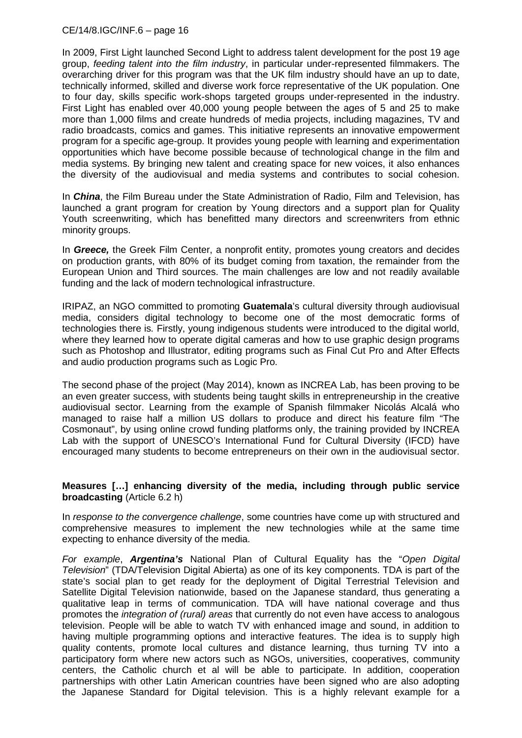In 2009, First Light launched Second Light to address talent development for the post 19 age group, *feeding talent into the film industry*, in particular under-represented filmmakers. The overarching driver for this program was that the UK film industry should have an up to date, technically informed, skilled and diverse work force representative of the UK population. One to four day, skills specific work-shops targeted groups under-represented in the industry. First Light has enabled over 40,000 young people between the ages of 5 and 25 to make more than 1,000 films and create hundreds of media projects, including magazines, TV and radio broadcasts, comics and games. This initiative represents an innovative empowerment program for a specific age-group. It provides young people with learning and experimentation opportunities which have become possible because of technological change in the film and media systems. By bringing new talent and creating space for new voices, it also enhances the diversity of the audiovisual and media systems and contributes to social cohesion.

In *China*, the Film Bureau under the State Administration of Radio, Film and Television, has launched a grant program for creation by Young directors and a support plan for Quality Youth screenwriting, which has benefitted many directors and screenwriters from ethnic minority groups.

In *Greece,* the Greek Film Center, a nonprofit entity, promotes young creators and decides on production grants, with 80% of its budget coming from taxation, the remainder from the European Union and Third sources. The main challenges are low and not readily available funding and the lack of modern technological infrastructure.

IRIPAZ, an NGO committed to promoting **Guatemala**'s cultural diversity through audiovisual media, considers digital technology to become one of the most democratic forms of technologies there is*.* Firstly, young indigenous students were introduced to the digital world, where they learned how to operate digital cameras and how to use graphic design programs such as Photoshop and Illustrator, editing programs such as Final Cut Pro and After Effects and audio production programs such as Logic Pro.

The second phase of the project (May 2014), known as INCREA Lab, has been proving to be an even greater success, with students being taught skills in entrepreneurship in the creative audiovisual sector. Learning from the example of Spanish filmmaker Nicolás Alcalá who managed to raise half a million US dollars to produce and direct his feature film "The Cosmonaut", by using online crowd funding platforms only, the training provided by INCREA Lab with the support of UNESCO's International Fund for Cultural Diversity (IFCD) have encouraged many students to become entrepreneurs on their own in the audiovisual sector.

#### **Measures […] enhancing diversity of the media, including through public service broadcasting** (Article 6.2 h)

In *response to the convergence challenge*, some countries have come up with structured and comprehensive measures to implement the new technologies while at the same time expecting to enhance diversity of the media.

*For example*, *Argentina's* National Plan of Cultural Equality has the "*Open Digital Television*" (TDA/Television Digital Abierta) as one of its key components. TDA is part of the state's social plan to get ready for the deployment of Digital Terrestrial Television and Satellite Digital Television nationwide, based on the Japanese standard, thus generating a qualitative leap in terms of communication. TDA will have national coverage and thus promotes the *integration of (rural) areas* that currently do not even have access to analogous television. People will be able to watch TV with enhanced image and sound, in addition to having multiple programming options and interactive features. The idea is to supply high quality contents, promote local cultures and distance learning, thus turning TV into a participatory form where new actors such as NGOs, universities, cooperatives, community centers, the Catholic church et al will be able to participate. In addition, cooperation partnerships with other Latin American countries have been signed who are also adopting the Japanese Standard for Digital television. This is a highly relevant example for a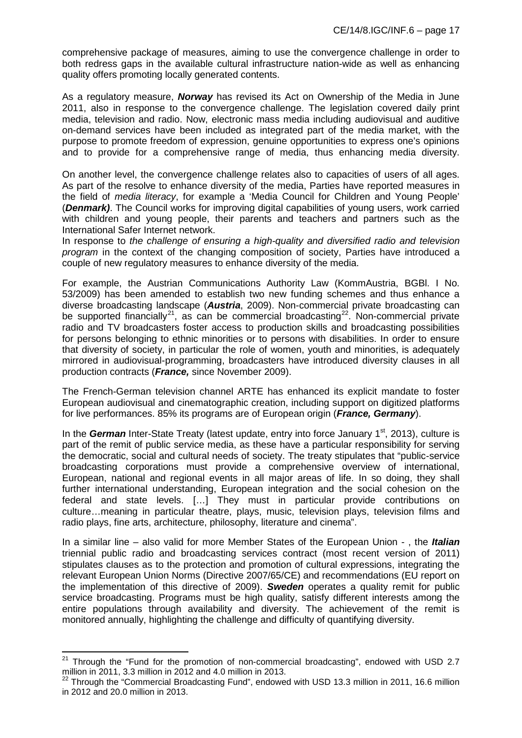comprehensive package of measures, aiming to use the convergence challenge in order to both redress gaps in the available cultural infrastructure nation-wide as well as enhancing quality offers promoting locally generated contents.

As a regulatory measure, *Norway* has revised its Act on Ownership of the Media in June 2011, also in response to the convergence challenge. The legislation covered daily print media, television and radio. Now, electronic mass media including audiovisual and auditive on-demand services have been included as integrated part of the media market, with the purpose to promote freedom of expression, genuine opportunities to express one's opinions and to provide for a comprehensive range of media, thus enhancing media diversity.

On another level, the convergence challenge relates also to capacities of users of all ages. As part of the resolve to enhance diversity of the media, Parties have reported measures in the field of *media literacy*, for example a 'Media Council for Children and Young People' (*Denmark)*. The Council works for improving digital capabilities of young users, work carried with children and voung people, their parents and teachers and partners such as the International Safer Internet network.

In response to *the challenge of ensuring a high-quality and diversified radio and television program* in the context of the changing composition of society, Parties have introduced a couple of new regulatory measures to enhance diversity of the media.

For example, the Austrian Communications Authority Law (KommAustria, BGBl. I No. 53/2009) has been amended to establish two new funding schemes and thus enhance a diverse broadcasting landscape (*Austria*, 2009). Non-commercial private broadcasting can be supported financially<sup>[21](#page-16-0)</sup>, as can be commercial broadcasting<sup>[22](#page-16-1)</sup>. Non-commercial private radio and TV broadcasters foster access to production skills and broadcasting possibilities for persons belonging to ethnic minorities or to persons with disabilities. In order to ensure that diversity of society, in particular the role of women, youth and minorities, is adequately mirrored in audiovisual-programming, broadcasters have introduced diversity clauses in all production contracts (*France,* since November 2009).

The French-German television channel ARTE has enhanced its explicit mandate to foster European audiovisual and cinematographic creation, including support on digitized platforms for live performances. 85% its programs are of European origin (*France, Germany*).

In the *German* Inter-State Treaty (latest update, entry into force January 1<sup>st</sup>, 2013), culture is part of the remit of public service media, as these have a particular responsibility for serving the democratic, social and cultural needs of society. The treaty stipulates that "public-service broadcasting corporations must provide a comprehensive overview of international, European, national and regional events in all major areas of life. In so doing, they shall further international understanding, European integration and the social cohesion on the federal and state levels. […] They must in particular provide contributions on culture…meaning in particular theatre, plays, music, television plays, television films and radio plays, fine arts, architecture, philosophy, literature and cinema".

In a similar line – also valid for more Member States of the European Union - , the *Italian*  triennial public radio and broadcasting services contract (most recent version of 2011) stipulates clauses as to the protection and promotion of cultural expressions, integrating the relevant European Union Norms (Directive 2007/65/CE) and recommendations (EU report on the implementation of this directive of 2009). *Sweden* operates a quality remit for public service broadcasting. Programs must be high quality, satisfy different interests among the entire populations through availability and diversity. The achievement of the remit is monitored annually, highlighting the challenge and difficulty of quantifying diversity.

<span id="page-16-0"></span> $21$  Through the "Fund for the promotion of non-commercial broadcasting", endowed with USD 2.7 million in 2011, 3.3 million in 2012 and 4.0 million in 2013.

<span id="page-16-1"></span> $22$  Through the "Commercial Broadcasting Fund", endowed with USD 13.3 million in 2011, 16.6 million in 2012 and 20.0 million in 2013.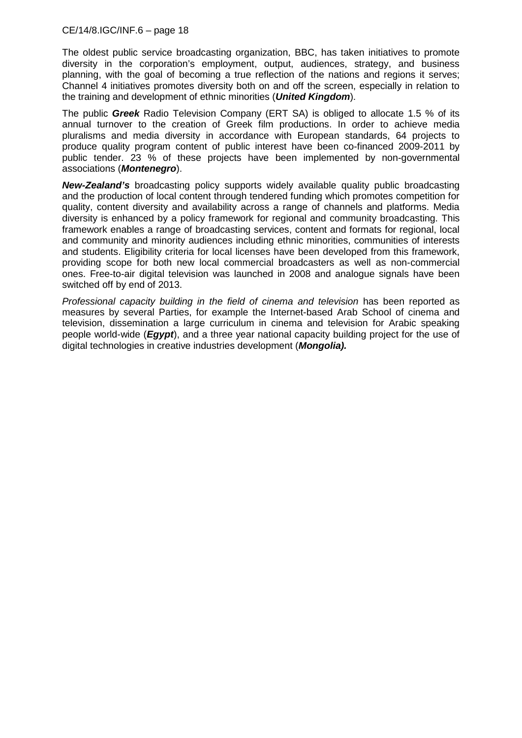The oldest public service broadcasting organization, BBC, has taken initiatives to promote diversity in the corporation's employment, output, audiences, strategy, and business planning, with the goal of becoming a true reflection of the nations and regions it serves; Channel 4 initiatives promotes diversity both on and off the screen, especially in relation to the training and development of ethnic minorities (*United Kingdom*).

The public *Greek* Radio Television Company (ERT SA) is obliged to allocate 1.5 % of its annual turnover to the creation of Greek film productions. In order to achieve media pluralisms and media diversity in accordance with European standards, 64 projects to produce quality program content of public interest have been co-financed 2009-2011 by public tender. 23 % of these projects have been implemented by non-governmental associations (*Montenegro*).

*New-Zealand's* broadcasting policy supports widely available quality public broadcasting and the production of local content through tendered funding which promotes competition for quality, content diversity and availability across a range of channels and platforms. Media diversity is enhanced by a policy framework for regional and community broadcasting. This framework enables a range of broadcasting services, content and formats for regional, local and community and minority audiences including ethnic minorities, communities of interests and students. Eligibility criteria for local licenses have been developed from this framework, providing scope for both new local commercial broadcasters as well as non-commercial ones. Free-to-air digital television was launched in 2008 and analogue signals have been switched off by end of 2013.

*Professional capacity building in the field of cinema and television* has been reported as measures by several Parties, for example the Internet-based Arab School of cinema and television, dissemination a large curriculum in cinema and television for Arabic speaking people world-wide (*Egypt*), and a three year national capacity building project for the use of digital technologies in creative industries development (*Mongolia).*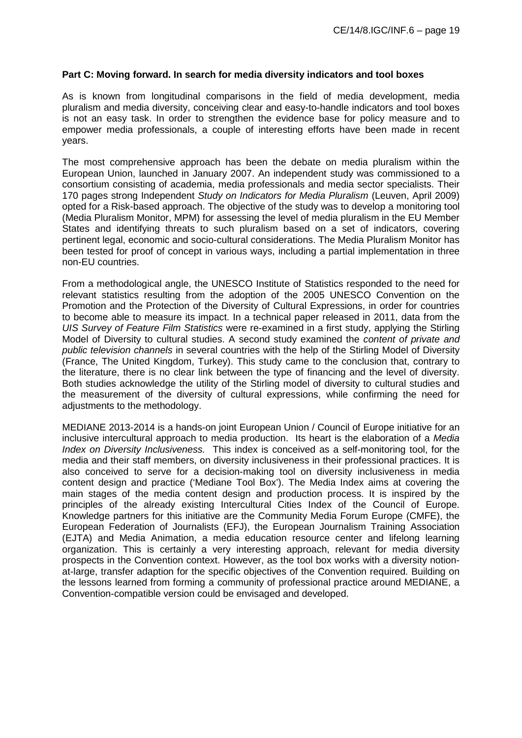#### **Part C: Moving forward. In search for media diversity indicators and tool boxes**

As is known from longitudinal comparisons in the field of media development, media pluralism and media diversity, conceiving clear and easy-to-handle indicators and tool boxes is not an easy task. In order to strengthen the evidence base for policy measure and to empower media professionals, a couple of interesting efforts have been made in recent years.

The most comprehensive approach has been the debate on media pluralism within the European Union, launched in January 2007. An independent study was commissioned to a consortium consisting of academia, media professionals and media sector specialists. Their 170 pages strong Independent *Study on Indicators for Media Pluralism* (Leuven, April 2009) opted for a Risk-based approach. The objective of the study was to develop a monitoring tool (Media Pluralism Monitor, MPM) for assessing the level of media pluralism in the EU Member States and identifying threats to such pluralism based on a set of indicators, covering pertinent legal, economic and socio-cultural considerations. The Media Pluralism Monitor has been tested for proof of concept in various ways, including a partial implementation in three non-EU countries.

From a methodological angle, the UNESCO Institute of Statistics responded to the need for relevant statistics resulting from the adoption of the 2005 UNESCO Convention on the Promotion and the Protection of the Diversity of Cultural Expressions, in order for countries to become able to measure its impact. In a technical paper released in 2011, data from the *UIS Survey of Feature Film Statistics* were re-examined in a first study, applying the Stirling Model of Diversity to cultural studies. A second study examined the *content of private and public television channels* in several countries with the help of the Stirling Model of Diversity (France, The United Kingdom, Turkey). This study came to the conclusion that, contrary to the literature, there is no clear link between the type of financing and the level of diversity. Both studies acknowledge the utility of the Stirling model of diversity to cultural studies and the measurement of the diversity of cultural expressions, while confirming the need for adjustments to the methodology.

MEDIANE 2013-2014 is a hands-on joint European Union / Council of Europe initiative for an inclusive intercultural approach to media production. Its heart is the elaboration of a *Media Index on Diversity Inclusiveness.* This index is conceived as a self-monitoring tool, for the media and their staff members, on diversity inclusiveness in their professional practices. It is also conceived to serve for a decision-making tool on diversity inclusiveness in media content design and practice ('Mediane Tool Box'). The Media Index aims at covering the main stages of the media content design and production process. It is inspired by the principles of the already existing Intercultural Cities Index of the Council of Europe. Knowledge partners for this initiative are the Community Media Forum Europe (CMFE), the European Federation of Journalists (EFJ), the European Journalism Training Association (EJTA) and Media Animation, a media education resource center and lifelong learning organization. This is certainly a very interesting approach, relevant for media diversity prospects in the Convention context. However, as the tool box works with a diversity notionat-large, transfer adaption for the specific objectives of the Convention required. Building on the lessons learned from forming a community of professional practice around MEDIANE, a Convention-compatible version could be envisaged and developed.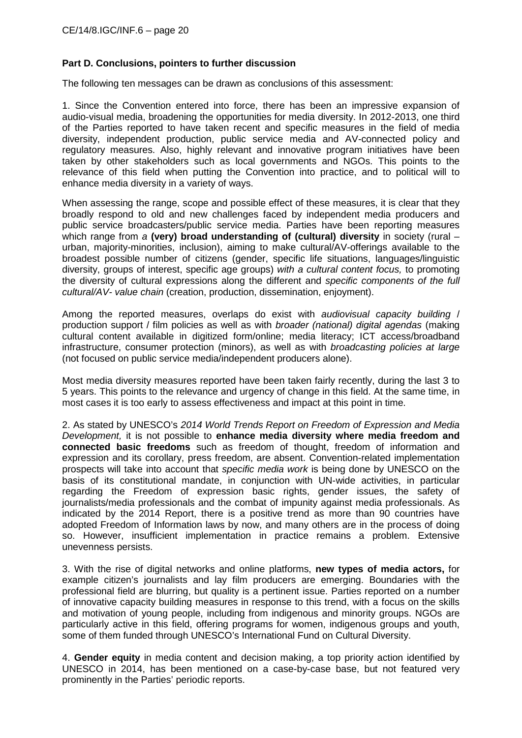## **Part D. Conclusions, pointers to further discussion**

The following ten messages can be drawn as conclusions of this assessment:

1. Since the Convention entered into force, there has been an impressive expansion of audio-visual media, broadening the opportunities for media diversity. In 2012-2013, one third of the Parties reported to have taken recent and specific measures in the field of media diversity, independent production, public service media and AV-connected policy and regulatory measures. Also, highly relevant and innovative program initiatives have been taken by other stakeholders such as local governments and NGOs. This points to the relevance of this field when putting the Convention into practice, and to political will to enhance media diversity in a variety of ways.

When assessing the range, scope and possible effect of these measures, it is clear that they broadly respond to old and new challenges faced by independent media producers and public service broadcasters/public service media. Parties have been reporting measures which range from *a* (very) broad understanding of (cultural) diversity in society (rural – urban, majority-minorities, inclusion), aiming to make cultural/AV-offerings available to the broadest possible number of citizens (gender, specific life situations, languages/linguistic diversity, groups of interest, specific age groups) *with a cultural content focus,* to promoting the diversity of cultural expressions along the different and *specific components of the full cultural/AV- value chain* (creation, production, dissemination, enjoyment).

Among the reported measures, overlaps do exist with *audiovisual capacity building* / production support / film policies as well as with *broader (national) digital agendas* (making cultural content available in digitized form/online; media literacy; ICT access/broadband infrastructure, consumer protection (minors), as well as with *broadcasting policies at large* (not focused on public service media/independent producers alone).

Most media diversity measures reported have been taken fairly recently, during the last 3 to 5 years. This points to the relevance and urgency of change in this field. At the same time, in most cases it is too early to assess effectiveness and impact at this point in time.

2. As stated by UNESCO's *2014 World Trends Report on Freedom of Expression and Media Development,* it is not possible to **enhance media diversity where media freedom and connected basic freedoms** such as freedom of thought, freedom of information and expression and its corollary, press freedom, are absent. Convention-related implementation prospects will take into account that *specific media work* is being done by UNESCO on the basis of its constitutional mandate, in conjunction with UN-wide activities, in particular regarding the Freedom of expression basic rights, gender issues, the safety of journalists/media professionals and the combat of impunity against media professionals. As indicated by the 2014 Report, there is a positive trend as more than 90 countries have adopted Freedom of Information laws by now, and many others are in the process of doing so. However, insufficient implementation in practice remains a problem. Extensive unevenness persists.

3. With the rise of digital networks and online platforms, **new types of media actors,** for example citizen's journalists and lay film producers are emerging. Boundaries with the professional field are blurring, but quality is a pertinent issue. Parties reported on a number of innovative capacity building measures in response to this trend, with a focus on the skills and motivation of young people, including from indigenous and minority groups. NGOs are particularly active in this field, offering programs for women, indigenous groups and youth, some of them funded through UNESCO's International Fund on Cultural Diversity.

4. **Gender equity** in media content and decision making, a top priority action identified by UNESCO in 2014, has been mentioned on a case-by-case base, but not featured very prominently in the Parties' periodic reports.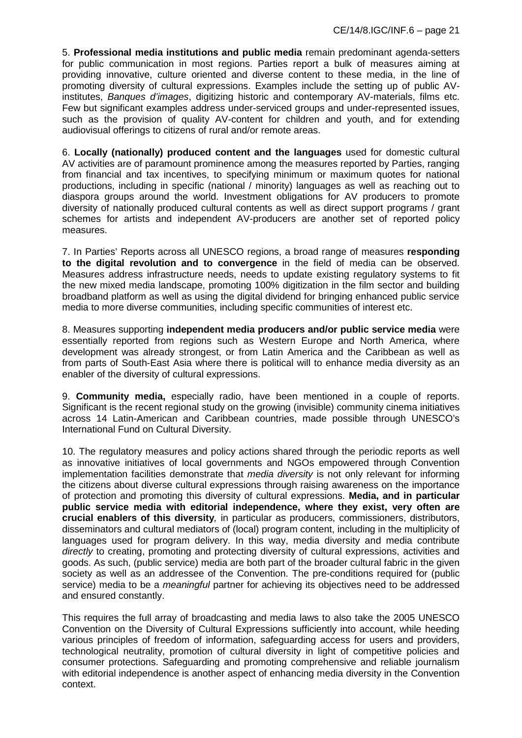5. **Professional media institutions and public media** remain predominant agenda-setters for public communication in most regions. Parties report a bulk of measures aiming at providing innovative, culture oriented and diverse content to these media, in the line of promoting diversity of cultural expressions. Examples include the setting up of public AVinstitutes, *Banques d'images*, digitizing historic and contemporary AV-materials, films etc. Few but significant examples address under-serviced groups and under-represented issues, such as the provision of quality AV-content for children and youth, and for extending audiovisual offerings to citizens of rural and/or remote areas.

6. **Locally (nationally) produced content and the languages** used for domestic cultural AV activities are of paramount prominence among the measures reported by Parties, ranging from financial and tax incentives, to specifying minimum or maximum quotes for national productions, including in specific (national / minority) languages as well as reaching out to diaspora groups around the world. Investment obligations for AV producers to promote diversity of nationally produced cultural contents as well as direct support programs / grant schemes for artists and independent AV-producers are another set of reported policy measures.

7. In Parties' Reports across all UNESCO regions, a broad range of measures **responding to the digital revolution and to convergence** in the field of media can be observed. Measures address infrastructure needs, needs to update existing regulatory systems to fit the new mixed media landscape, promoting 100% digitization in the film sector and building broadband platform as well as using the digital dividend for bringing enhanced public service media to more diverse communities, including specific communities of interest etc.

8. Measures supporting **independent media producers and/or public service media** were essentially reported from regions such as Western Europe and North America, where development was already strongest, or from Latin America and the Caribbean as well as from parts of South-East Asia where there is political will to enhance media diversity as an enabler of the diversity of cultural expressions.

9. **Community media,** especially radio, have been mentioned in a couple of reports. Significant is the recent regional study on the growing (invisible) community cinema initiatives across 14 Latin-American and Caribbean countries, made possible through UNESCO's International Fund on Cultural Diversity.

10. The regulatory measures and policy actions shared through the periodic reports as well as innovative initiatives of local governments and NGOs empowered through Convention implementation facilities demonstrate that *media diversity* is not only relevant for informing the citizens about diverse cultural expressions through raising awareness on the importance of protection and promoting this diversity of cultural expressions. **Media, and in particular public service media with editorial independence, where they exist, very often are crucial enablers of this diversity***,* in particular as producers, commissioners, distributors, disseminators and cultural mediators of (local) program content, including in the multiplicity of languages used for program delivery. In this way, media diversity and media contribute *directly* to creating, promoting and protecting diversity of cultural expressions, activities and goods. As such, (public service) media are both part of the broader cultural fabric in the given society as well as an addressee of the Convention. The pre-conditions required for (public service) media to be a *meaningful* partner for achieving its objectives need to be addressed and ensured constantly.

This requires the full array of broadcasting and media laws to also take the 2005 UNESCO Convention on the Diversity of Cultural Expressions sufficiently into account, while heeding various principles of freedom of information, safeguarding access for users and providers, technological neutrality, promotion of cultural diversity in light of competitive policies and consumer protections. Safeguarding and promoting comprehensive and reliable journalism with editorial independence is another aspect of enhancing media diversity in the Convention context.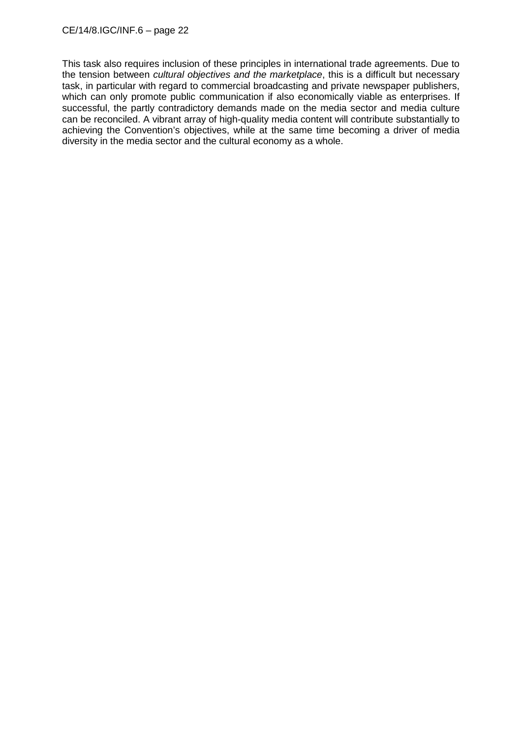This task also requires inclusion of these principles in international trade agreements. Due to the tension between *cultural objectives and the marketplace*, this is a difficult but necessary task, in particular with regard to commercial broadcasting and private newspaper publishers, which can only promote public communication if also economically viable as enterprises. If successful, the partly contradictory demands made on the media sector and media culture can be reconciled. A vibrant array of high-quality media content will contribute substantially to achieving the Convention's objectives, while at the same time becoming a driver of media diversity in the media sector and the cultural economy as a whole.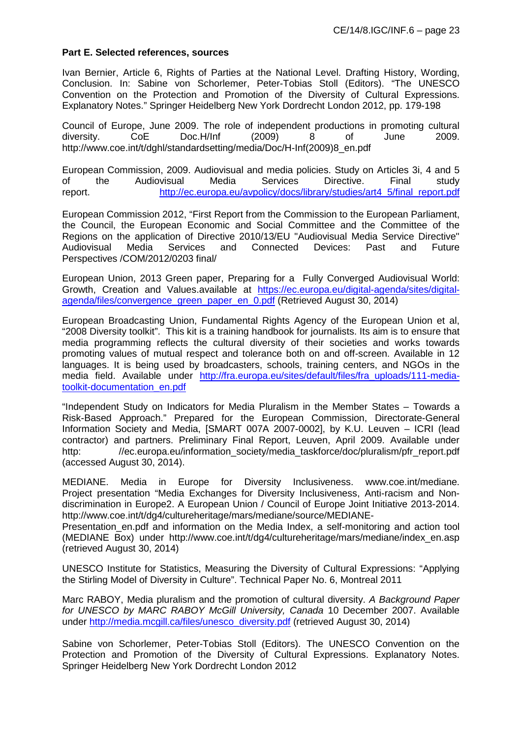#### **Part E. Selected references, sources**

Ivan Bernier, Article 6, Rights of Parties at the National Level. Drafting History, Wording, Conclusion. In: Sabine von Schorlemer, Peter-Tobias Stoll (Editors). "The UNESCO Convention on the Protection and Promotion of the Diversity of Cultural Expressions. Explanatory Notes." Springer Heidelberg New York Dordrecht London 2012, pp. 179-198

Council of Europe, June 2009. The role of independent productions in promoting cultural diversity. CoE Doc.H/Inf (2009) 8 of June 2009. http://www.coe.int/t/dghl/standardsetting/media/Doc/H-Inf(2009)8\_en.pdf

European Commission, 2009. Audiovisual and media policies. Study on Articles 3i, 4 and 5 of the Audiovisual Media Services Directive. Final study report. [http://ec.europa.eu/avpolicy/docs/library/studies/art4\\_5/final\\_report.pdf](http://ec.europa.eu/avpolicy/docs/library/studies/art4_5/final_report.pdf)

European Commission 2012, "First Report from the Commission to the European Parliament, the Council, the European Economic and Social Committee and the Committee of the Regions on the application of Directive 2010/13/EU "Audiovisual Media Service Directive" Audiovisual Media Services and Connected Devices: Past and Future Perspectives /COM/2012/0203 final/

European Union, 2013 Green paper, Preparing for a [Fully Converged Audiovisual World:](https://ec.europa.eu/digital-agenda/node/51287#green-paper---preparing-for-a-fully-converged-audi)  [Growth, Creation and Values.](https://ec.europa.eu/digital-agenda/node/51287#green-paper---preparing-for-a-fully-converged-audi)available at [https://ec.europa.eu/digital-agenda/sites/digital](https://ec.europa.eu/digital-agenda/sites/digital-agenda/files/convergence_green_paper_en_0.pdf)[agenda/files/convergence\\_green\\_paper\\_en\\_0.pdf](https://ec.europa.eu/digital-agenda/sites/digital-agenda/files/convergence_green_paper_en_0.pdf) (Retrieved August 30, 2014)

European Broadcasting Union, Fundamental Rights Agency of the European Union et al, "2008 Diversity toolkit". This kit is a training handbook for journalists. Its aim is to ensure that media programming reflects the cultural diversity of their societies and works towards promoting values of mutual respect and tolerance both on and off-screen. Available in 12 languages. It is being used by broadcasters, schools, training centers, and NGOs in the media field. Available under http://fra.europa.eu/sites/default/files/fra uploads/111-media[toolkit-documentation\\_en.pdf](http://fra.europa.eu/sites/default/files/fra_uploads/111-media-toolkit-documentation_en.pdf)

"Independent Study on Indicators for Media Pluralism in the Member States – Towards a Risk-Based Approach." Prepared for the European Commission, Directorate-General Information Society and Media, [SMART 007A 2007-0002], by K.U. Leuven – ICRI (lead contractor) and partners. Preliminary Final Report, Leuven, April 2009. Available under http: //ec.europa.eu/information\_society/media\_taskforce/doc/pluralism/pfr\_report.pdf (accessed August 30, 2014).

MEDIANE. Media in Europe for Diversity Inclusiveness. www.coe.int/mediane. Project presentation "Media Exchanges for Diversity Inclusiveness, Anti-racism and Nondiscrimination in Europe2. A European Union / Council of Europe Joint Initiative 2013-2014. http://www.coe.int/t/dg4/cultureheritage/mars/mediane/source/MEDIANE-

Presentation\_en.pdf and information on the Media Index, a self-monitoring and action tool (MEDIANE Box) under http://www.coe.int/t/dg4/cultureheritage/mars/mediane/index\_en.asp (retrieved August 30, 2014)

UNESCO Institute for Statistics, Measuring the Diversity of Cultural Expressions: "Applying the Stirling Model of Diversity in Culture". Technical Paper No. 6, Montreal 2011

Marc RABOY, Media pluralism and the promotion of cultural diversity. *A Background Paper for UNESCO by MARC RABOY McGill University, Canada* 10 December 2007. Available under [http://media.mcgill.ca/files/unesco\\_diversity.pdf](http://media.mcgill.ca/files/unesco_diversity.pdf) (retrieved August 30, 2014)

Sabine von Schorlemer, Peter-Tobias Stoll (Editors). The UNESCO Convention on the Protection and Promotion of the Diversity of Cultural Expressions. Explanatory Notes. Springer Heidelberg New York Dordrecht London 2012